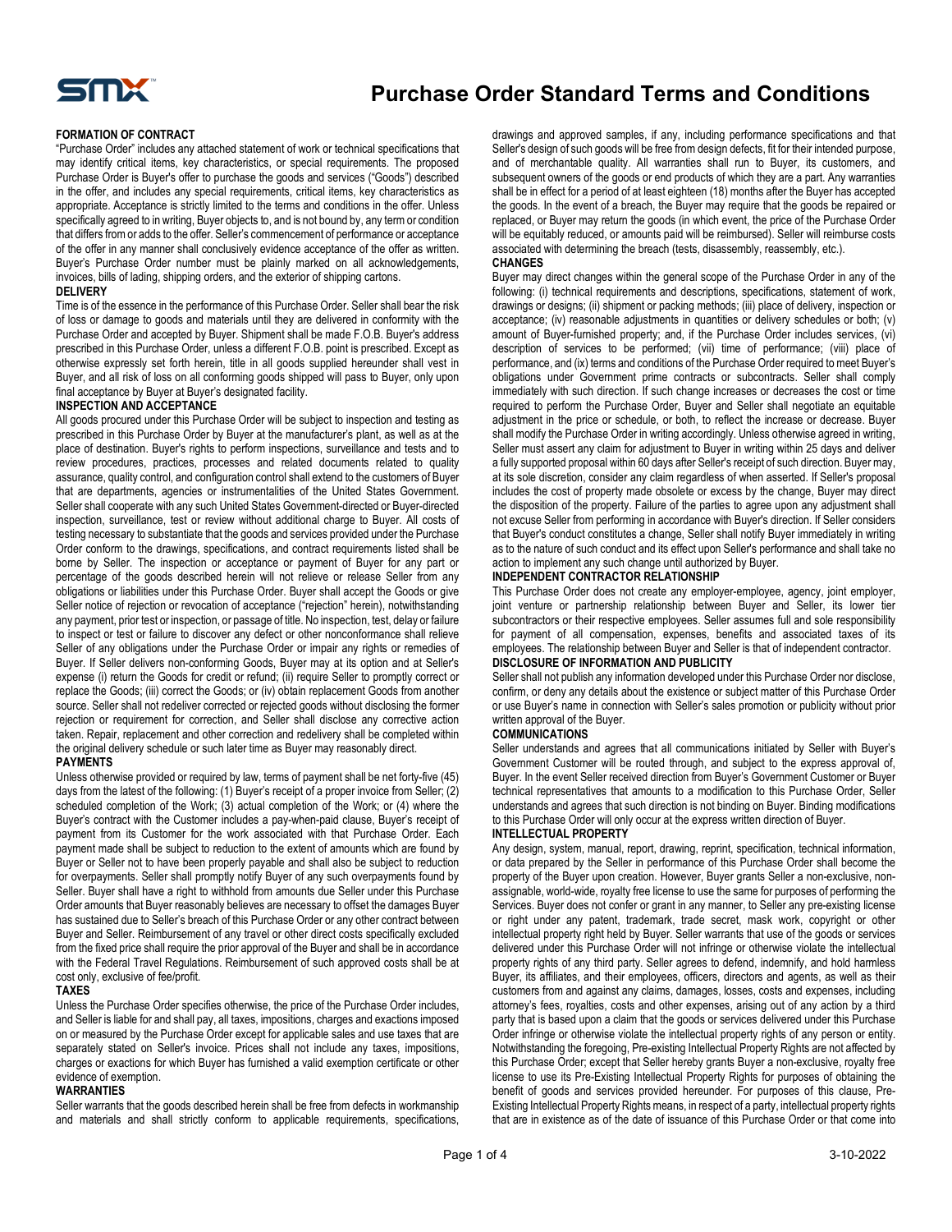

#### **FORMATION OF CONTRACT**

"Purchase Order" includes any attached statement of work or technical specifications that may identify critical items, key characteristics, or special requirements. The proposed Purchase Order is Buyer's offer to purchase the goods and services ("Goods") described in the offer, and includes any special requirements, critical items, key characteristics as appropriate. Acceptance is strictly limited to the terms and conditions in the offer. Unless specifically agreed to in writing, Buyer objects to, and is not bound by, any term or condition that differs from or adds to the offer. Seller's commencement of performance or acceptance of the offer in any manner shall conclusively evidence acceptance of the offer as written. Buyer's Purchase Order number must be plainly marked on all acknowledgements, invoices, bills of lading, shipping orders, and the exterior of shipping cartons.

#### **DELIVERY**

Time is of the essence in the performance of this Purchase Order. Seller shall bear the risk of loss or damage to goods and materials until they are delivered in conformity with the Purchase Order and accepted by Buyer. Shipment shall be made F.O.B. Buyer's address prescribed in this Purchase Order, unless a different F.O.B. point is prescribed. Except as otherwise expressly set forth herein, title in all goods supplied hereunder shall vest in Buyer, and all risk of loss on all conforming goods shipped will pass to Buyer, only upon final acceptance by Buyer at Buyer's designated facility.

#### **INSPECTION AND ACCEPTANCE**

All goods procured under this Purchase Order will be subject to inspection and testing as prescribed in this Purchase Order by Buyer at the manufacturer's plant, as well as at the place of destination. Buyer's rights to perform inspections, surveillance and tests and to review procedures, practices, processes and related documents related to quality assurance, quality control, and configuration control shall extend to the customers of Buyer that are departments, agencies or instrumentalities of the United States Government. Seller shall cooperate with any such United States Government-directed or Buyer-directed inspection, surveillance, test or review without additional charge to Buyer. All costs of testing necessary to substantiate that the goods and services provided under the Purchase Order conform to the drawings, specifications, and contract requirements listed shall be borne by Seller. The inspection or acceptance or payment of Buyer for any part or percentage of the goods described herein will not relieve or release Seller from any obligations or liabilities under this Purchase Order. Buyer shall accept the Goods or give Seller notice of rejection or revocation of acceptance ("rejection" herein), notwithstanding any payment, prior test or inspection, or passage of title. No inspection, test, delay or failure to inspect or test or failure to discover any defect or other nonconformance shall relieve Seller of any obligations under the Purchase Order or impair any rights or remedies of Buyer. If Seller delivers non-conforming Goods, Buyer may at its option and at Seller's expense (i) return the Goods for credit or refund; (ii) require Seller to promptly correct or replace the Goods; (iii) correct the Goods; or (iv) obtain replacement Goods from another source. Seller shall not redeliver corrected or rejected goods without disclosing the former rejection or requirement for correction, and Seller shall disclose any corrective action taken. Repair, replacement and other correction and redelivery shall be completed within the original delivery schedule or such later time as Buyer may reasonably direct.

#### **PAYMENTS**

Unless otherwise provided or required by law, terms of payment shall be net forty-five (45) days from the latest of the following: (1) Buyer's receipt of a proper invoice from Seller; (2) scheduled completion of the Work; (3) actual completion of the Work; or (4) where the Buyer's contract with the Customer includes a pay-when-paid clause, Buyer's receipt of payment from its Customer for the work associated with that Purchase Order. Each payment made shall be subject to reduction to the extent of amounts which are found by Buyer or Seller not to have been properly payable and shall also be subject to reduction for overpayments. Seller shall promptly notify Buyer of any such overpayments found by Seller. Buyer shall have a right to withhold from amounts due Seller under this Purchase Order amounts that Buyer reasonably believes are necessary to offset the damages Buyer has sustained due to Seller's breach of this Purchase Order or any other contract between Buyer and Seller. Reimbursement of any travel or other direct costs specifically excluded from the fixed price shall require the prior approval of the Buyer and shall be in accordance with the Federal Travel Regulations. Reimbursement of such approved costs shall be at cost only, exclusive of fee/profit.

#### **TAXES**

Unless the Purchase Order specifies otherwise, the price of the Purchase Order includes, and Seller is liable for and shall pay, all taxes, impositions, charges and exactions imposed on or measured by the Purchase Order except for applicable sales and use taxes that are separately stated on Seller's invoice. Prices shall not include any taxes, impositions, charges or exactions for which Buyer has furnished a valid exemption certificate or other evidence of exemption.

#### **WARRANTIES**

Seller warrants that the goods described herein shall be free from defects in workmanship and materials and shall strictly conform to applicable requirements, specifications, drawings and approved samples, if any, including performance specifications and that Seller's design of such goods will be free from design defects, fit for their intended purpose, and of merchantable quality. All warranties shall run to Buyer, its customers, and subsequent owners of the goods or end products of which they are a part. Any warranties shall be in effect for a period of at least eighteen (18) months after the Buyer has accepted the goods. In the event of a breach, the Buyer may require that the goods be repaired or replaced, or Buyer may return the goods (in which event, the price of the Purchase Order will be equitably reduced, or amounts paid will be reimbursed). Seller will reimburse costs associated with determining the breach (tests, disassembly, reassembly, etc.). **CHANGES**

Buyer may direct changes within the general scope of the Purchase Order in any of the following: (i) technical requirements and descriptions, specifications, statement of work, drawings or designs; (ii) shipment or packing methods; (iii) place of delivery, inspection or acceptance; (iv) reasonable adjustments in quantities or delivery schedules or both; (v) amount of Buyer-furnished property; and, if the Purchase Order includes services, (vi) description of services to be performed; (vii) time of performance; (viii) place of performance, and (ix) terms and conditions of the Purchase Order required to meet Buyer's obligations under Government prime contracts or subcontracts. Seller shall comply immediately with such direction. If such change increases or decreases the cost or time required to perform the Purchase Order, Buyer and Seller shall negotiate an equitable adjustment in the price or schedule, or both, to reflect the increase or decrease. Buyer shall modify the Purchase Order in writing accordingly. Unless otherwise agreed in writing, Seller must assert any claim for adjustment to Buyer in writing within 25 days and deliver a fully supported proposal within 60 days after Seller's receipt of such direction. Buyer may, at its sole discretion, consider any claim regardless of when asserted. If Seller's proposal includes the cost of property made obsolete or excess by the change, Buyer may direct the disposition of the property. Failure of the parties to agree upon any adjustment shall not excuse Seller from performing in accordance with Buyer's direction. If Seller considers that Buyer's conduct constitutes a change, Seller shall notify Buyer immediately in writing as to the nature of such conduct and its effect upon Seller's performance and shall take no action to implement any such change until authorized by Buyer.

# **INDEPENDENT CONTRACTOR RELATIONSHIP**

This Purchase Order does not create any employer-employee, agency, joint employer, joint venture or partnership relationship between Buyer and Seller, its lower tier subcontractors or their respective employees. Seller assumes full and sole responsibility for payment of all compensation, expenses, benefits and associated taxes of its employees. The relationship between Buyer and Seller is that of independent contractor. **DISCLOSURE OF INFORMATION AND PUBLICITY**

Seller shall not publish any information developed under this Purchase Order nor disclose, confirm, or deny any details about the existence or subject matter of this Purchase Order or use Buyer's name in connection with Seller's sales promotion or publicity without prior written approval of the Buyer.

#### **COMMUNICATIONS**

Seller understands and agrees that all communications initiated by Seller with Buyer's Government Customer will be routed through, and subject to the express approval of, Buyer. In the event Seller received direction from Buyer's Government Customer or Buyer technical representatives that amounts to a modification to this Purchase Order, Seller understands and agrees that such direction is not binding on Buyer. Binding modifications to this Purchase Order will only occur at the express written direction of Buyer.

#### **INTELLECTUAL PROPERTY**

Any design, system, manual, report, drawing, reprint, specification, technical information, or data prepared by the Seller in performance of this Purchase Order shall become the property of the Buyer upon creation. However, Buyer grants Seller a non-exclusive, nonassignable, world-wide, royalty free license to use the same for purposes of performing the Services. Buyer does not confer or grant in any manner, to Seller any pre-existing license or right under any patent, trademark, trade secret, mask work, copyright or other intellectual property right held by Buyer. Seller warrants that use of the goods or services delivered under this Purchase Order will not infringe or otherwise violate the intellectual property rights of any third party. Seller agrees to defend, indemnify, and hold harmless Buyer, its affiliates, and their employees, officers, directors and agents, as well as their customers from and against any claims, damages, losses, costs and expenses, including attorney's fees, royalties, costs and other expenses, arising out of any action by a third party that is based upon a claim that the goods or services delivered under this Purchase Order infringe or otherwise violate the intellectual property rights of any person or entity. Notwithstanding the foregoing, Pre-existing Intellectual Property Rights are not affected by this Purchase Order; except that Seller hereby grants Buyer a non-exclusive, royalty free license to use its Pre-Existing Intellectual Property Rights for purposes of obtaining the benefit of goods and services provided hereunder. For purposes of this clause, Pre-Existing Intellectual Property Rights means, in respect of a party, intellectual property rights that are in existence as of the date of issuance of this Purchase Order or that come into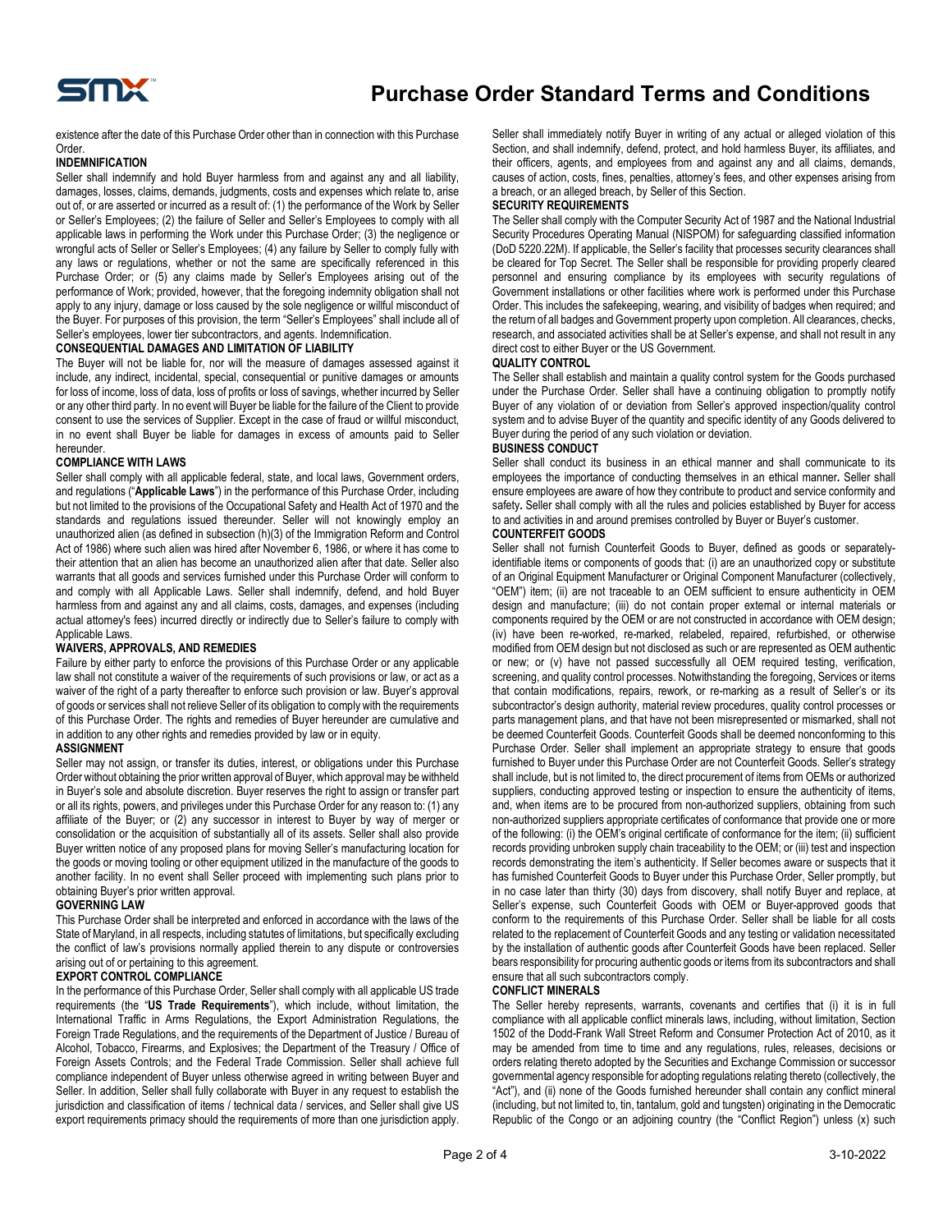

existence after the date of this Purchase Order other than in connection with this Purchase Order.

#### **INDEMNIFICATION**

Seller shall indemnify and hold Buyer harmless from and against any and all liability, damages, losses, claims, demands, judgments, costs and expenses which relate to, arise out of, or are asserted or incurred as a result of: (1) the performance of the Work by Seller or Seller's Employees; (2) the failure of Seller and Seller's Employees to comply with all applicable laws in performing the Work under this Purchase Order; (3) the negligence or wrongful acts of Seller or Seller's Employees; (4) any failure by Seller to comply fully with any laws or regulations, whether or not the same are specifically referenced in this Purchase Order; or (5) any claims made by Seller's Employees arising out of the performance of Work; provided, however, that the foregoing indemnity obligation shall not apply to any injury, damage or loss caused by the sole negligence or willful misconduct of the Buyer. For purposes of this provision, the term "Seller's Employees" shall include all of Seller's employees, lower tier subcontractors, and agents. Indemnification.

#### **CONSEQUENTIAL DAMAGES AND LIMITATION OF LIABILITY**

The Buyer will not be liable for, nor will the measure of damages assessed against it include, any indirect, incidental, special, consequential or punitive damages or amounts for loss of income, loss of data, loss of profits or loss of savings, whether incurred by Seller or any other third party. In no event will Buyer be liable for the failure of the Client to provide consent to use the services of Supplier. Except in the case of fraud or willful misconduct, in no event shall Buyer be liable for damages in excess of amounts paid to Seller hereunder.

#### **COMPLIANCE WITH LAWS**

Seller shall comply with all applicable federal, state, and local laws, Government orders, and regulations ("**Applicable Laws**") in the performance of this Purchase Order, including but not limited to the provisions of the Occupational Safety and Health Act of 1970 and the standards and regulations issued thereunder. Seller will not knowingly employ an unauthorized alien (as defined in subsection (h)(3) of the Immigration Reform and Control Act of 1986) where such alien was hired after November 6, 1986, or where it has come to their attention that an alien has become an unauthorized alien after that date. Seller also warrants that all goods and services furnished under this Purchase Order will conform to and comply with all Applicable Laws. Seller shall indemnify, defend, and hold Buyer harmless from and against any and all claims, costs, damages, and expenses (including actual attorney's fees) incurred directly or indirectly due to Seller's failure to comply with Applicable Laws.

#### **WAIVERS, APPROVALS, AND REMEDIES**

Failure by either party to enforce the provisions of this Purchase Order or any applicable law shall not constitute a waiver of the requirements of such provisions or law, or act as a waiver of the right of a party thereafter to enforce such provision or law. Buyer's approval of goods or services shall not relieve Seller of its obligation to comply with the requirements of this Purchase Order. The rights and remedies of Buyer hereunder are cumulative and in addition to any other rights and remedies provided by law or in equity.

#### **ASSIGNMENT**

Seller may not assign, or transfer its duties, interest, or obligations under this Purchase Order without obtaining the prior written approval of Buyer, which approval may be withheld in Buyer's sole and absolute discretion. Buyer reserves the right to assign or transfer part or all its rights, powers, and privileges under this Purchase Order for any reason to: (1) any affiliate of the Buyer; or (2) any successor in interest to Buyer by way of merger or consolidation or the acquisition of substantially all of its assets. Seller shall also provide Buyer written notice of any proposed plans for moving Seller's manufacturing location for the goods or moving tooling or other equipment utilized in the manufacture of the goods to another facility. In no event shall Seller proceed with implementing such plans prior to obtaining Buyer's prior written approval.

# **GOVERNING LAW**

This Purchase Order shall be interpreted and enforced in accordance with the laws of the State of Maryland, in all respects, including statutes of limitations, but specifically excluding the conflict of law's provisions normally applied therein to any dispute or controversies arising out of or pertaining to this agreement.

# **EXPORT CONTROL COMPLIANCE**

In the performance of this Purchase Order, Seller shall comply with all applicable US trade requirements (the "**US Trade Requirements**"), which include, without limitation, the International Traffic in Arms Regulations, the Export Administration Regulations, the Foreign Trade Regulations, and the requirements of the Department of Justice / Bureau of Alcohol, Tobacco, Firearms, and Explosives; the Department of the Treasury / Office of Foreign Assets Controls; and the Federal Trade Commission. Seller shall achieve full compliance independent of Buyer unless otherwise agreed in writing between Buyer and Seller. In addition, Seller shall fully collaborate with Buyer in any request to establish the jurisdiction and classification of items / technical data / services, and Seller shall give US export requirements primacy should the requirements of more than one jurisdiction apply. Seller shall immediately notify Buyer in writing of any actual or alleged violation of this Section, and shall indemnify, defend, protect, and hold harmless Buyer, its affiliates, and their officers, agents, and employees from and against any and all claims, demands, causes of action, costs, fines, penalties, attorney's fees, and other expenses arising from a breach, or an alleged breach, by Seller of this Section.

#### **SECURITY REQUIREMENTS**

The Seller shall comply with the Computer Security Act of 1987 and the National Industrial Security Procedures Operating Manual (NISPOM) for safeguarding classified information (DoD 5220.22M). If applicable, the Seller's facility that processes security clearances shall be cleared for Top Secret. The Seller shall be responsible for providing properly cleared personnel and ensuring compliance by its employees with security regulations of Government installations or other facilities where work is performed under this Purchase Order. This includes the safekeeping, wearing, and visibility of badges when required; and the return of all badges and Government property upon completion. All clearances, checks, research, and associated activities shall be at Seller's expense, and shall not result in any direct cost to either Buyer or the US Government.

#### **QUALITY CONTROL**

The Seller shall establish and maintain a quality control system for the Goods purchased under the Purchase Order. Seller shall have a continuing obligation to promptly notify Buyer of any violation of or deviation from Seller's approved inspection/quality control system and to advise Buyer of the quantity and specific identity of any Goods delivered to Buyer during the period of any such violation or deviation.

# **BUSINESS CONDUCT**

Seller shall conduct its business in an ethical manner and shall communicate to its employees the importance of conducting themselves in an ethical manner**.** Seller shall ensure employees are aware of how they contribute to product and service conformity and safety**.** Seller shall comply with all the rules and policies established by Buyer for access to and activities in and around premises controlled by Buyer or Buyer's customer.

#### **COUNTERFEIT GOODS**

Seller shall not furnish Counterfeit Goods to Buyer, defined as goods or separatelyidentifiable items or components of goods that: (i) are an unauthorized copy or substitute of an Original Equipment Manufacturer or Original Component Manufacturer (collectively, "OEM") item; (ii) are not traceable to an OEM sufficient to ensure authenticity in OEM design and manufacture; (iii) do not contain proper external or internal materials or components required by the OEM or are not constructed in accordance with OEM design; (iv) have been re-worked, re-marked, relabeled, repaired, refurbished, or otherwise modified from OEM design but not disclosed as such or are represented as OEM authentic or new; or (v) have not passed successfully all OEM required testing, verification, screening, and quality control processes. Notwithstanding the foregoing, Services or items that contain modifications, repairs, rework, or re-marking as a result of Seller's or its subcontractor's design authority, material review procedures, quality control processes or parts management plans, and that have not been misrepresented or mismarked, shall not be deemed Counterfeit Goods. Counterfeit Goods shall be deemed nonconforming to this Purchase Order. Seller shall implement an appropriate strategy to ensure that goods furnished to Buyer under this Purchase Order are not Counterfeit Goods. Seller's strategy shall include, but is not limited to, the direct procurement of items from OEMs or authorized suppliers, conducting approved testing or inspection to ensure the authenticity of items, and, when items are to be procured from non-authorized suppliers, obtaining from such non-authorized suppliers appropriate certificates of conformance that provide one or more of the following: (i) the OEM's original certificate of conformance for the item; (ii) sufficient records providing unbroken supply chain traceability to the OEM; or (iii) test and inspection records demonstrating the item's authenticity. If Seller becomes aware or suspects that it has furnished Counterfeit Goods to Buyer under this Purchase Order, Seller promptly, but in no case later than thirty (30) days from discovery, shall notify Buyer and replace, at Seller's expense, such Counterfeit Goods with OEM or Buyer-approved goods that conform to the requirements of this Purchase Order. Seller shall be liable for all costs related to the replacement of Counterfeit Goods and any testing or validation necessitated by the installation of authentic goods after Counterfeit Goods have been replaced. Seller bears responsibility for procuring authentic goods or items from its subcontractors and shall ensure that all such subcontractors comply.

# **CONFLICT MINERALS**

The Seller hereby represents, warrants, covenants and certifies that (i) it is in full compliance with all applicable conflict minerals laws, including, without limitation, Section 1502 of the Dodd-Frank Wall Street Reform and Consumer Protection Act of 2010, as it may be amended from time to time and any regulations, rules, releases, decisions or orders relating thereto adopted by the Securities and Exchange Commission or successor governmental agency responsible for adopting regulations relating thereto (collectively, the "Act"), and (ii) none of the Goods furnished hereunder shall contain any conflict mineral (including, but not limited to, tin, tantalum, gold and tungsten) originating in the Democratic Republic of the Congo or an adjoining country (the "Conflict Region") unless (x) such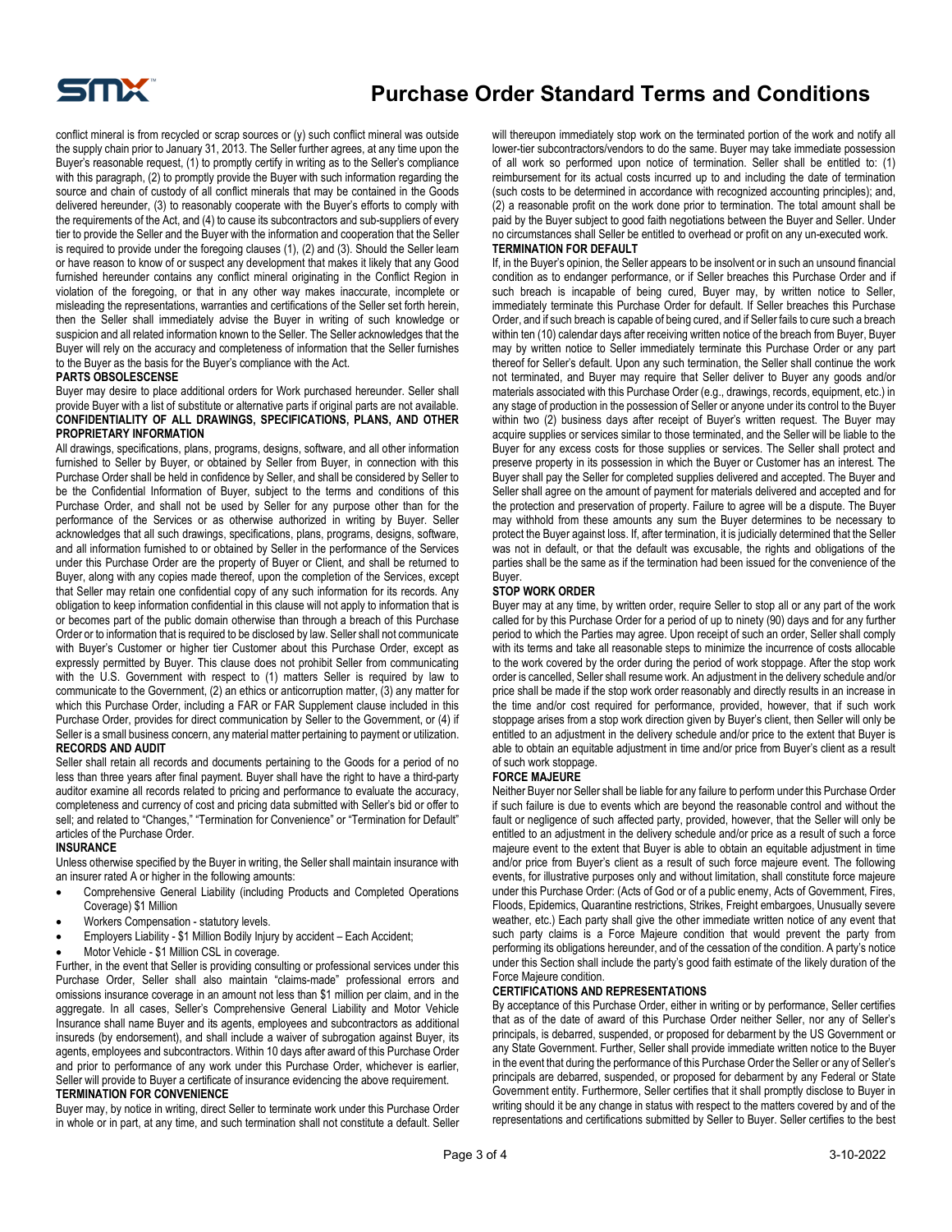

conflict mineral is from recycled or scrap sources or (y) such conflict mineral was outside the supply chain prior to January 31, 2013. The Seller further agrees, at any time upon the Buyer's reasonable request, (1) to promptly certify in writing as to the Seller's compliance with this paragraph, (2) to promptly provide the Buyer with such information regarding the source and chain of custody of all conflict minerals that may be contained in the Goods delivered hereunder, (3) to reasonably cooperate with the Buyer's efforts to comply with the requirements of the Act, and (4) to cause its subcontractors and sub-suppliers of every tier to provide the Seller and the Buyer with the information and cooperation that the Seller is required to provide under the foregoing clauses (1), (2) and (3). Should the Seller learn or have reason to know of or suspect any development that makes it likely that any Good furnished hereunder contains any conflict mineral originating in the Conflict Region in violation of the foregoing, or that in any other way makes inaccurate, incomplete or misleading the representations, warranties and certifications of the Seller set forth herein, then the Seller shall immediately advise the Buyer in writing of such knowledge or suspicion and all related information known to the Seller. The Seller acknowledges that the Buyer will rely on the accuracy and completeness of information that the Seller furnishes to the Buyer as the basis for the Buyer's compliance with the Act.

#### **PARTS OBSOLESCENSE**

Buyer may desire to place additional orders for Work purchased hereunder. Seller shall provide Buyer with a list of substitute or alternative parts if original parts are not available. **CONFIDENTIALITY OF ALL DRAWINGS, SPECIFICATIONS, PLANS, AND OTHER PROPRIETARY INFORMATION**

All drawings, specifications, plans, programs, designs, software, and all other information furnished to Seller by Buyer, or obtained by Seller from Buyer, in connection with this Purchase Order shall be held in confidence by Seller, and shall be considered by Seller to be the Confidential Information of Buyer, subject to the terms and conditions of this Purchase Order, and shall not be used by Seller for any purpose other than for the performance of the Services or as otherwise authorized in writing by Buyer. Seller acknowledges that all such drawings, specifications, plans, programs, designs, software, and all information furnished to or obtained by Seller in the performance of the Services under this Purchase Order are the property of Buyer or Client, and shall be returned to Buyer, along with any copies made thereof, upon the completion of the Services, except that Seller may retain one confidential copy of any such information for its records. Any obligation to keep information confidential in this clause will not apply to information that is or becomes part of the public domain otherwise than through a breach of this Purchase Order or to information that is required to be disclosed by law. Seller shall not communicate with Buyer's Customer or higher tier Customer about this Purchase Order, except as expressly permitted by Buyer. This clause does not prohibit Seller from communicating with the U.S. Government with respect to (1) matters Seller is required by law to communicate to the Government, (2) an ethics or anticorruption matter, (3) any matter for which this Purchase Order, including a FAR or FAR Supplement clause included in this Purchase Order, provides for direct communication by Seller to the Government, or (4) if Seller is a small business concern, any material matter pertaining to payment or utilization. **RECORDS AND AUDIT**

Seller shall retain all records and documents pertaining to the Goods for a period of no less than three years after final payment. Buyer shall have the right to have a third-party auditor examine all records related to pricing and performance to evaluate the accuracy, completeness and currency of cost and pricing data submitted with Seller's bid or offer to sell; and related to "Changes," "Termination for Convenience" or "Termination for Default" articles of the Purchase Order.

#### **INSURANCE**

Unless otherwise specified by the Buyer in writing, the Seller shall maintain insurance with an insurer rated A or higher in the following amounts:

- Comprehensive General Liability (including Products and Completed Operations Coverage) \$1 Million
- Workers Compensation statutory levels.
- Employers Liability \$1 Million Bodily Injury by accident Each Accident;
- Motor Vehicle \$1 Million CSL in coverage.

Further, in the event that Seller is providing consulting or professional services under this Purchase Order, Seller shall also maintain "claims-made" professional errors and omissions insurance coverage in an amount not less than \$1 million per claim, and in the aggregate. In all cases, Seller's Comprehensive General Liability and Motor Vehicle Insurance shall name Buyer and its agents, employees and subcontractors as additional insureds (by endorsement), and shall include a waiver of subrogation against Buyer, its agents, employees and subcontractors. Within 10 days after award of this Purchase Order and prior to performance of any work under this Purchase Order, whichever is earlier, Seller will provide to Buyer a certificate of insurance evidencing the above requirement. **TERMINATION FOR CONVENIENCE**

Buyer may, by notice in writing, direct Seller to terminate work under this Purchase Order in whole or in part, at any time, and such termination shall not constitute a default. Seller will thereupon immediately stop work on the terminated portion of the work and notify all lower-tier subcontractors/vendors to do the same. Buyer may take immediate possession of all work so performed upon notice of termination. Seller shall be entitled to: (1) reimbursement for its actual costs incurred up to and including the date of termination (such costs to be determined in accordance with recognized accounting principles); and, (2) a reasonable profit on the work done prior to termination. The total amount shall be paid by the Buyer subject to good faith negotiations between the Buyer and Seller. Under no circumstances shall Seller be entitled to overhead or profit on any un-executed work. **TERMINATION FOR DEFAULT**

If, in the Buyer's opinion, the Seller appears to be insolvent or in such an unsound financial condition as to endanger performance, or if Seller breaches this Purchase Order and if such breach is incapable of being cured, Buyer may, by written notice to Seller, immediately terminate this Purchase Order for default. If Seller breaches this Purchase Order, and if such breach is capable of being cured, and if Seller fails to cure such a breach within ten (10) calendar days after receiving written notice of the breach from Buyer, Buyer may by written notice to Seller immediately terminate this Purchase Order or any part thereof for Seller's default. Upon any such termination, the Seller shall continue the work not terminated, and Buyer may require that Seller deliver to Buyer any goods and/or materials associated with this Purchase Order (e.g., drawings, records, equipment, etc.) in any stage of production in the possession of Seller or anyone under its control to the Buyer within two (2) business days after receipt of Buyer's written request. The Buyer may acquire supplies or services similar to those terminated, and the Seller will be liable to the Buyer for any excess costs for those supplies or services. The Seller shall protect and preserve property in its possession in which the Buyer or Customer has an interest. The Buyer shall pay the Seller for completed supplies delivered and accepted. The Buyer and Seller shall agree on the amount of payment for materials delivered and accepted and for the protection and preservation of property. Failure to agree will be a dispute. The Buyer may withhold from these amounts any sum the Buyer determines to be necessary to protect the Buyer against loss. If, after termination, it is judicially determined that the Seller was not in default, or that the default was excusable, the rights and obligations of the parties shall be the same as if the termination had been issued for the convenience of the Buyer.

#### **STOP WORK ORDER**

Buyer may at any time, by written order, require Seller to stop all or any part of the work called for by this Purchase Order for a period of up to ninety (90) days and for any further period to which the Parties may agree. Upon receipt of such an order, Seller shall comply with its terms and take all reasonable steps to minimize the incurrence of costs allocable to the work covered by the order during the period of work stoppage. After the stop work order is cancelled, Seller shall resume work. An adjustment in the delivery schedule and/or price shall be made if the stop work order reasonably and directly results in an increase in the time and/or cost required for performance, provided, however, that if such work stoppage arises from a stop work direction given by Buyer's client, then Seller will only be entitled to an adjustment in the delivery schedule and/or price to the extent that Buyer is able to obtain an equitable adjustment in time and/or price from Buyer's client as a result of such work stoppage.

#### **FORCE MAJEURE**

Neither Buyer nor Seller shall be liable for any failure to perform under this Purchase Order if such failure is due to events which are beyond the reasonable control and without the fault or negligence of such affected party, provided, however, that the Seller will only be entitled to an adjustment in the delivery schedule and/or price as a result of such a force majeure event to the extent that Buyer is able to obtain an equitable adjustment in time and/or price from Buyer's client as a result of such force majeure event. The following events, for illustrative purposes only and without limitation, shall constitute force majeure under this Purchase Order: (Acts of God or of a public enemy, Acts of Government, Fires, Floods, Epidemics, Quarantine restrictions, Strikes, Freight embargoes, Unusually severe weather, etc.) Each party shall give the other immediate written notice of any event that such party claims is a Force Majeure condition that would prevent the party from performing its obligations hereunder, and of the cessation of the condition. A party's notice under this Section shall include the party's good faith estimate of the likely duration of the Force Majeure condition.

# **CERTIFICATIONS AND REPRESENTATIONS**

By acceptance of this Purchase Order, either in writing or by performance, Seller certifies that as of the date of award of this Purchase Order neither Seller, nor any of Seller's principals, is debarred, suspended, or proposed for debarment by the US Government or any State Government. Further, Seller shall provide immediate written notice to the Buyer in the event that during the performance of this Purchase Order the Seller or any of Seller's principals are debarred, suspended, or proposed for debarment by any Federal or State Government entity. Furthermore, Seller certifies that it shall promptly disclose to Buyer in writing should it be any change in status with respect to the matters covered by and of the representations and certifications submitted by Seller to Buyer. Seller certifies to the best